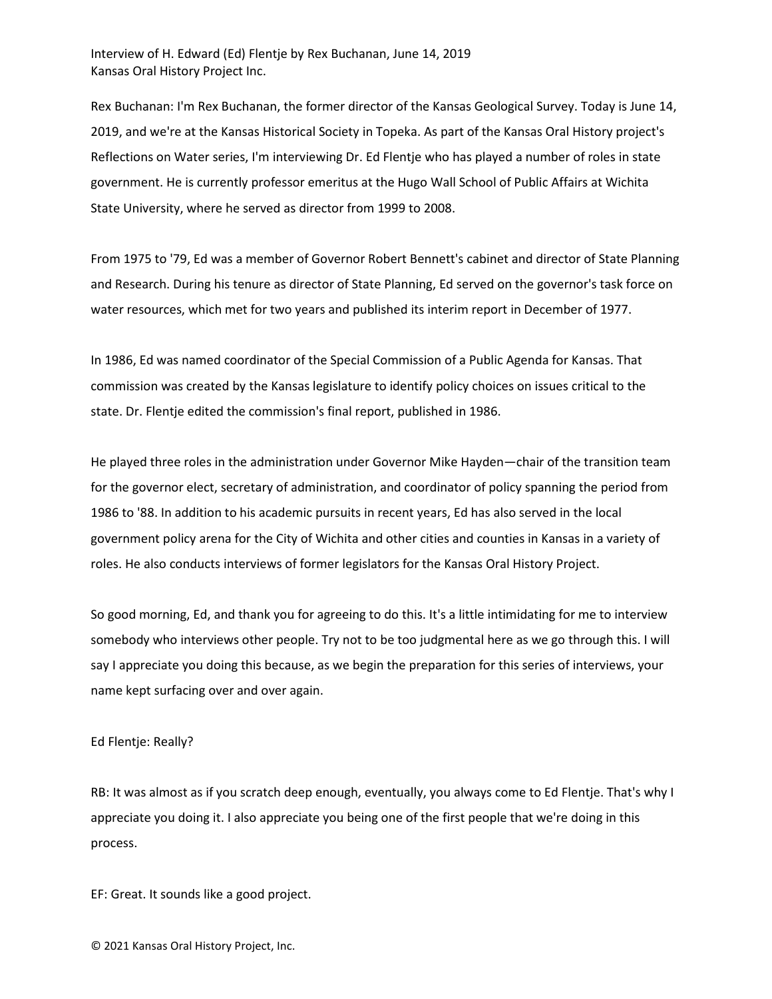Interview of H. Edward (Ed) Flentje by Rex Buchanan, June 14, 2019 Kansas Oral History Project Inc.

Rex Buchanan: I'm Rex Buchanan, the former director of the Kansas Geological Survey. Today is June 14, 2019, and we're at the Kansas Historical Society in Topeka. As part of the Kansas Oral History project's Reflections on Water series, I'm interviewing Dr. Ed Flentje who has played a number of roles in state government. He is currently professor emeritus at the Hugo Wall School of Public Affairs at Wichita State University, where he served as director from 1999 to 2008.

From 1975 to '79, Ed was a member of Governor Robert Bennett's cabinet and director of State Planning and Research. During his tenure as director of State Planning, Ed served on the governor's task force on water resources, which met for two years and published its interim report in December of 1977.

In 1986, Ed was named coordinator of the Special Commission of a Public Agenda for Kansas. That commission was created by the Kansas legislature to identify policy choices on issues critical to the state. Dr. Flentje edited the commission's final report, published in 1986.

He played three roles in the administration under Governor Mike Hayden—chair of the transition team for the governor elect, secretary of administration, and coordinator of policy spanning the period from 1986 to '88. In addition to his academic pursuits in recent years, Ed has also served in the local government policy arena for the City of Wichita and other cities and counties in Kansas in a variety of roles. He also conducts interviews of former legislators for the Kansas Oral History Project.

So good morning, Ed, and thank you for agreeing to do this. It's a little intimidating for me to interview somebody who interviews other people. Try not to be too judgmental here as we go through this. I will say I appreciate you doing this because, as we begin the preparation for this series of interviews, your name kept surfacing over and over again.

## Ed Flentje: Really?

RB: It was almost as if you scratch deep enough, eventually, you always come to Ed Flentje. That's why I appreciate you doing it. I also appreciate you being one of the first people that we're doing in this process.

EF: Great. It sounds like a good project.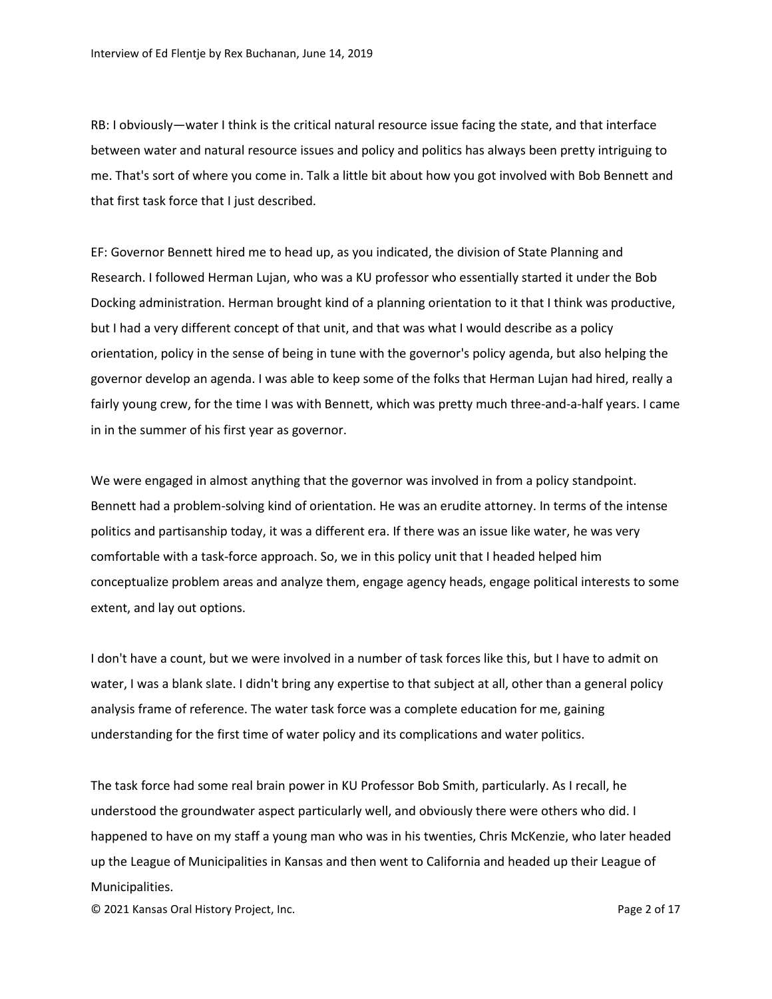RB: I obviously—water I think is the critical natural resource issue facing the state, and that interface between water and natural resource issues and policy and politics has always been pretty intriguing to me. That's sort of where you come in. Talk a little bit about how you got involved with Bob Bennett and that first task force that I just described.

EF: Governor Bennett hired me to head up, as you indicated, the division of State Planning and Research. I followed Herman Lujan, who was a KU professor who essentially started it under the Bob Docking administration. Herman brought kind of a planning orientation to it that I think was productive, but I had a very different concept of that unit, and that was what I would describe as a policy orientation, policy in the sense of being in tune with the governor's policy agenda, but also helping the governor develop an agenda. I was able to keep some of the folks that Herman Lujan had hired, really a fairly young crew, for the time I was with Bennett, which was pretty much three-and-a-half years. I came in in the summer of his first year as governor.

We were engaged in almost anything that the governor was involved in from a policy standpoint. Bennett had a problem-solving kind of orientation. He was an erudite attorney. In terms of the intense politics and partisanship today, it was a different era. If there was an issue like water, he was very comfortable with a task-force approach. So, we in this policy unit that I headed helped him conceptualize problem areas and analyze them, engage agency heads, engage political interests to some extent, and lay out options.

I don't have a count, but we were involved in a number of task forces like this, but I have to admit on water, I was a blank slate. I didn't bring any expertise to that subject at all, other than a general policy analysis frame of reference. The water task force was a complete education for me, gaining understanding for the first time of water policy and its complications and water politics.

The task force had some real brain power in KU Professor Bob Smith, particularly. As I recall, he understood the groundwater aspect particularly well, and obviously there were others who did. I happened to have on my staff a young man who was in his twenties, Chris McKenzie, who later headed up the League of Municipalities in Kansas and then went to California and headed up their League of Municipalities.

© 2021 Kansas Oral History Project, Inc. Page 2 of 17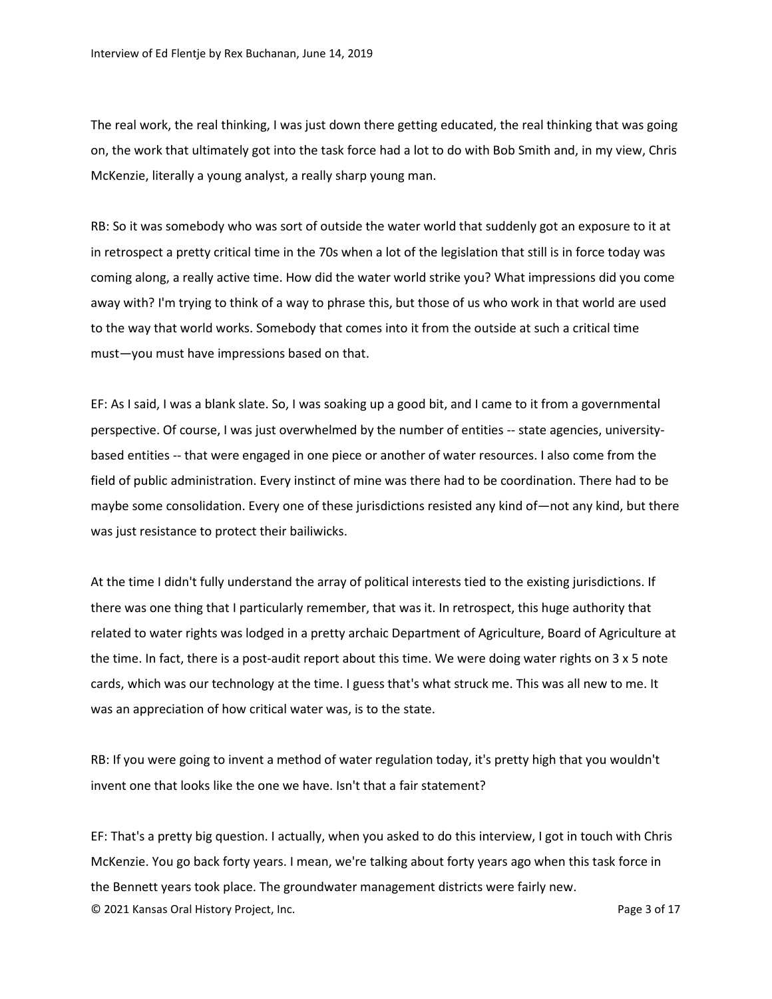The real work, the real thinking, I was just down there getting educated, the real thinking that was going on, the work that ultimately got into the task force had a lot to do with Bob Smith and, in my view, Chris McKenzie, literally a young analyst, a really sharp young man.

RB: So it was somebody who was sort of outside the water world that suddenly got an exposure to it at in retrospect a pretty critical time in the 70s when a lot of the legislation that still is in force today was coming along, a really active time. How did the water world strike you? What impressions did you come away with? I'm trying to think of a way to phrase this, but those of us who work in that world are used to the way that world works. Somebody that comes into it from the outside at such a critical time must—you must have impressions based on that.

EF: As I said, I was a blank slate. So, I was soaking up a good bit, and I came to it from a governmental perspective. Of course, I was just overwhelmed by the number of entities -- state agencies, universitybased entities -- that were engaged in one piece or another of water resources. I also come from the field of public administration. Every instinct of mine was there had to be coordination. There had to be maybe some consolidation. Every one of these jurisdictions resisted any kind of—not any kind, but there was just resistance to protect their bailiwicks.

At the time I didn't fully understand the array of political interests tied to the existing jurisdictions. If there was one thing that I particularly remember, that was it. In retrospect, this huge authority that related to water rights was lodged in a pretty archaic Department of Agriculture, Board of Agriculture at the time. In fact, there is a post-audit report about this time. We were doing water rights on 3 x 5 note cards, which was our technology at the time. I guess that's what struck me. This was all new to me. It was an appreciation of how critical water was, is to the state.

RB: If you were going to invent a method of water regulation today, it's pretty high that you wouldn't invent one that looks like the one we have. Isn't that a fair statement?

© 2021 Kansas Oral History Project, Inc. Page 3 of 17 EF: That's a pretty big question. I actually, when you asked to do this interview, I got in touch with Chris McKenzie. You go back forty years. I mean, we're talking about forty years ago when this task force in the Bennett years took place. The groundwater management districts were fairly new.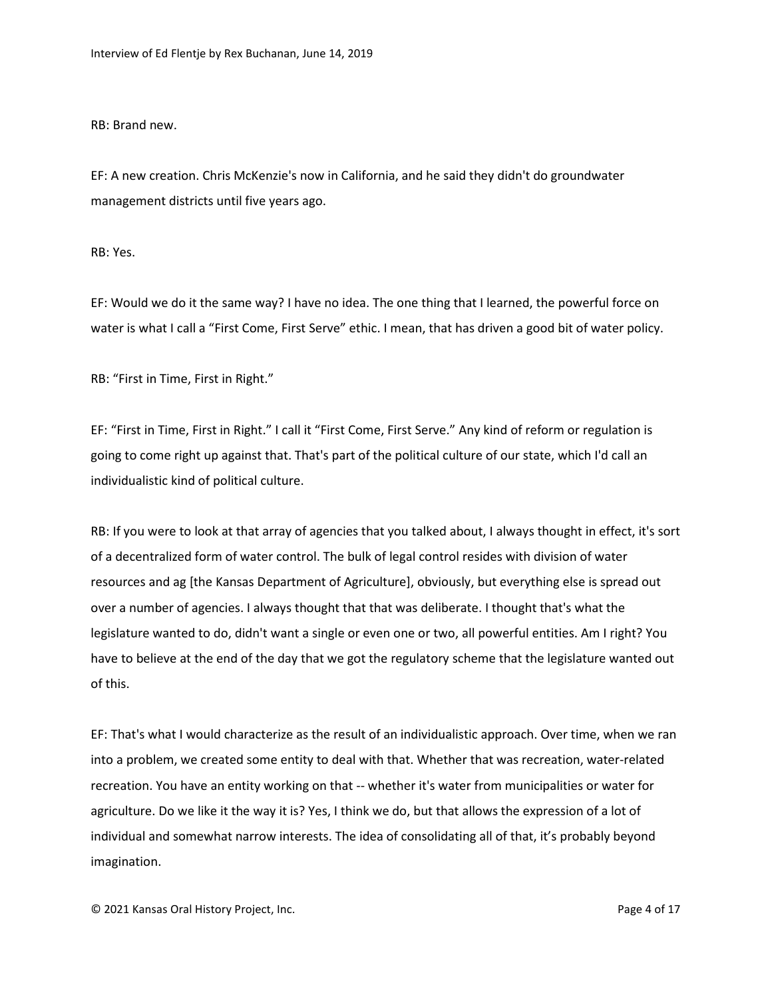RB: Brand new.

EF: A new creation. Chris McKenzie's now in California, and he said they didn't do groundwater management districts until five years ago.

RB: Yes.

EF: Would we do it the same way? I have no idea. The one thing that I learned, the powerful force on water is what I call a "First Come, First Serve" ethic. I mean, that has driven a good bit of water policy.

RB: "First in Time, First in Right."

EF: "First in Time, First in Right." I call it "First Come, First Serve." Any kind of reform or regulation is going to come right up against that. That's part of the political culture of our state, which I'd call an individualistic kind of political culture.

RB: If you were to look at that array of agencies that you talked about, I always thought in effect, it's sort of a decentralized form of water control. The bulk of legal control resides with division of water resources and ag [the Kansas Department of Agriculture], obviously, but everything else is spread out over a number of agencies. I always thought that that was deliberate. I thought that's what the legislature wanted to do, didn't want a single or even one or two, all powerful entities. Am I right? You have to believe at the end of the day that we got the regulatory scheme that the legislature wanted out of this.

EF: That's what I would characterize as the result of an individualistic approach. Over time, when we ran into a problem, we created some entity to deal with that. Whether that was recreation, water-related recreation. You have an entity working on that -- whether it's water from municipalities or water for agriculture. Do we like it the way it is? Yes, I think we do, but that allows the expression of a lot of individual and somewhat narrow interests. The idea of consolidating all of that, it's probably beyond imagination.

© 2021 Kansas Oral History Project, Inc. Page 4 of 17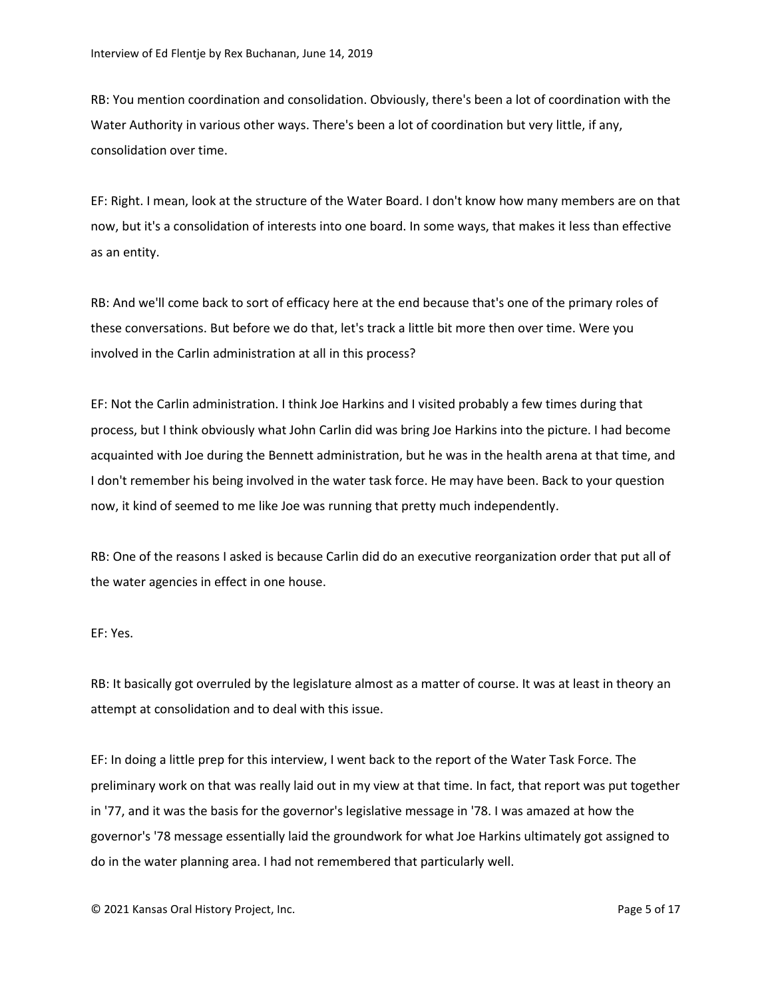RB: You mention coordination and consolidation. Obviously, there's been a lot of coordination with the Water Authority in various other ways. There's been a lot of coordination but very little, if any, consolidation over time.

EF: Right. I mean, look at the structure of the Water Board. I don't know how many members are on that now, but it's a consolidation of interests into one board. In some ways, that makes it less than effective as an entity.

RB: And we'll come back to sort of efficacy here at the end because that's one of the primary roles of these conversations. But before we do that, let's track a little bit more then over time. Were you involved in the Carlin administration at all in this process?

EF: Not the Carlin administration. I think Joe Harkins and I visited probably a few times during that process, but I think obviously what John Carlin did was bring Joe Harkins into the picture. I had become acquainted with Joe during the Bennett administration, but he was in the health arena at that time, and I don't remember his being involved in the water task force. He may have been. Back to your question now, it kind of seemed to me like Joe was running that pretty much independently.

RB: One of the reasons I asked is because Carlin did do an executive reorganization order that put all of the water agencies in effect in one house.

EF: Yes.

RB: It basically got overruled by the legislature almost as a matter of course. It was at least in theory an attempt at consolidation and to deal with this issue.

EF: In doing a little prep for this interview, I went back to the report of the Water Task Force. The preliminary work on that was really laid out in my view at that time. In fact, that report was put together in '77, and it was the basis for the governor's legislative message in '78. I was amazed at how the governor's '78 message essentially laid the groundwork for what Joe Harkins ultimately got assigned to do in the water planning area. I had not remembered that particularly well.

© 2021 Kansas Oral History Project, Inc. Page 5 of 17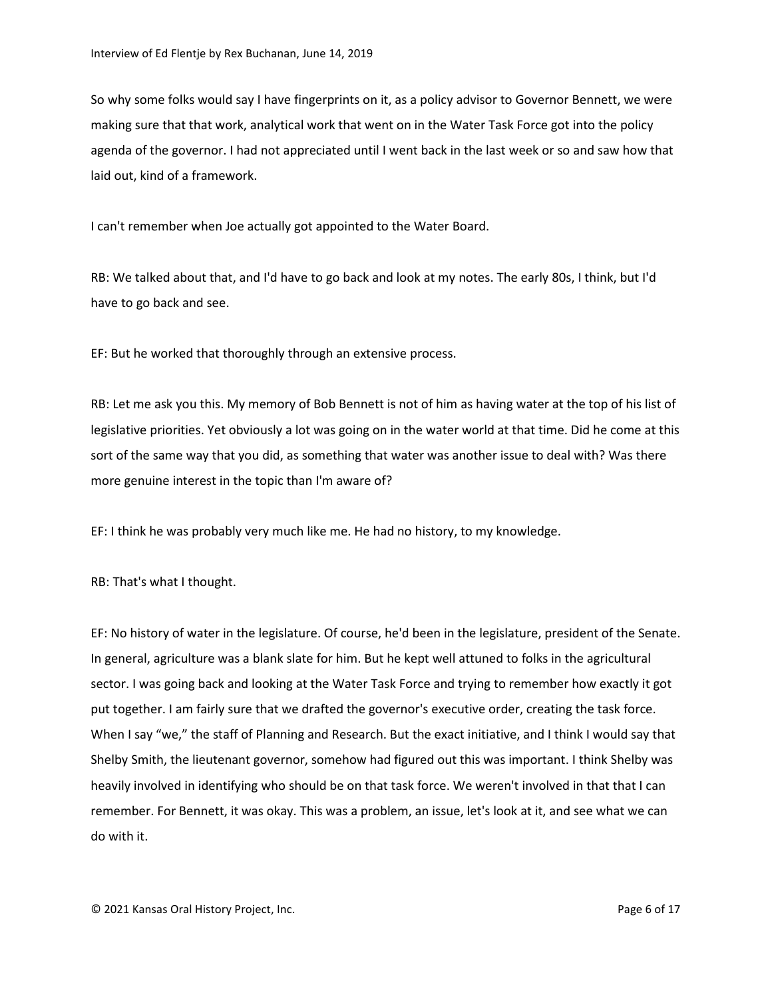So why some folks would say I have fingerprints on it, as a policy advisor to Governor Bennett, we were making sure that that work, analytical work that went on in the Water Task Force got into the policy agenda of the governor. I had not appreciated until I went back in the last week or so and saw how that laid out, kind of a framework.

I can't remember when Joe actually got appointed to the Water Board.

RB: We talked about that, and I'd have to go back and look at my notes. The early 80s, I think, but I'd have to go back and see.

EF: But he worked that thoroughly through an extensive process.

RB: Let me ask you this. My memory of Bob Bennett is not of him as having water at the top of his list of legislative priorities. Yet obviously a lot was going on in the water world at that time. Did he come at this sort of the same way that you did, as something that water was another issue to deal with? Was there more genuine interest in the topic than I'm aware of?

EF: I think he was probably very much like me. He had no history, to my knowledge.

RB: That's what I thought.

EF: No history of water in the legislature. Of course, he'd been in the legislature, president of the Senate. In general, agriculture was a blank slate for him. But he kept well attuned to folks in the agricultural sector. I was going back and looking at the Water Task Force and trying to remember how exactly it got put together. I am fairly sure that we drafted the governor's executive order, creating the task force. When I say "we," the staff of Planning and Research. But the exact initiative, and I think I would say that Shelby Smith, the lieutenant governor, somehow had figured out this was important. I think Shelby was heavily involved in identifying who should be on that task force. We weren't involved in that that I can remember. For Bennett, it was okay. This was a problem, an issue, let's look at it, and see what we can do with it.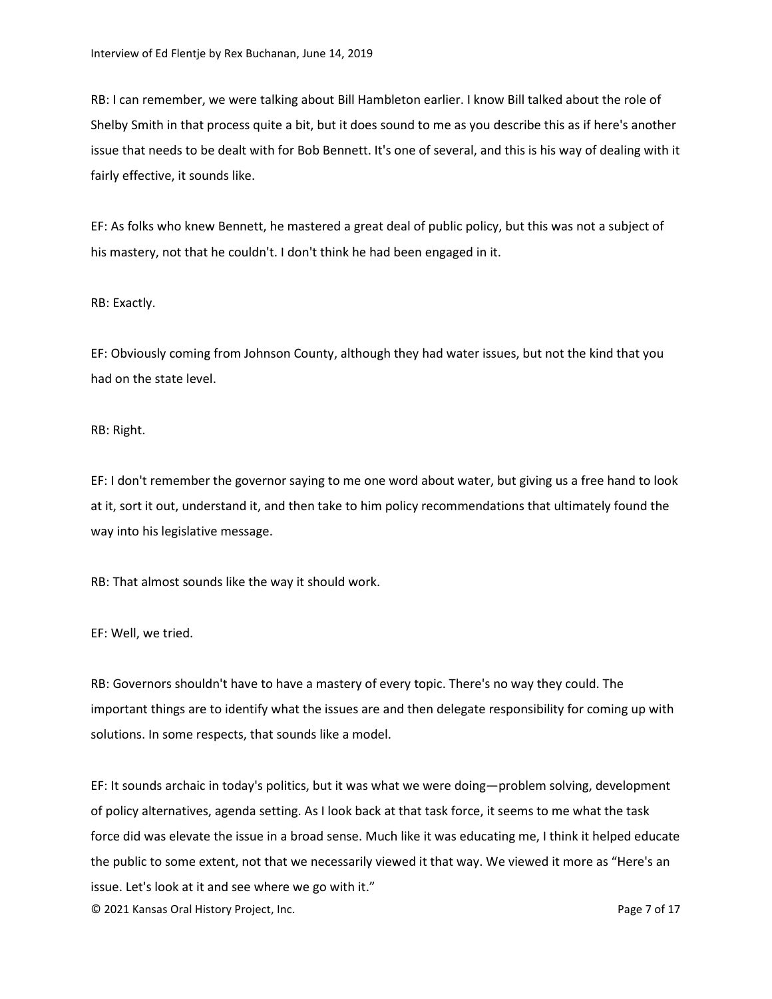RB: I can remember, we were talking about Bill Hambleton earlier. I know Bill talked about the role of Shelby Smith in that process quite a bit, but it does sound to me as you describe this as if here's another issue that needs to be dealt with for Bob Bennett. It's one of several, and this is his way of dealing with it fairly effective, it sounds like.

EF: As folks who knew Bennett, he mastered a great deal of public policy, but this was not a subject of his mastery, not that he couldn't. I don't think he had been engaged in it.

## RB: Exactly.

EF: Obviously coming from Johnson County, although they had water issues, but not the kind that you had on the state level.

## RB: Right.

EF: I don't remember the governor saying to me one word about water, but giving us a free hand to look at it, sort it out, understand it, and then take to him policy recommendations that ultimately found the way into his legislative message.

RB: That almost sounds like the way it should work.

EF: Well, we tried.

RB: Governors shouldn't have to have a mastery of every topic. There's no way they could. The important things are to identify what the issues are and then delegate responsibility for coming up with solutions. In some respects, that sounds like a model.

© 2021 Kansas Oral History Project, Inc. Page 7 of 17 EF: It sounds archaic in today's politics, but it was what we were doing—problem solving, development of policy alternatives, agenda setting. As I look back at that task force, it seems to me what the task force did was elevate the issue in a broad sense. Much like it was educating me, I think it helped educate the public to some extent, not that we necessarily viewed it that way. We viewed it more as "Here's an issue. Let's look at it and see where we go with it."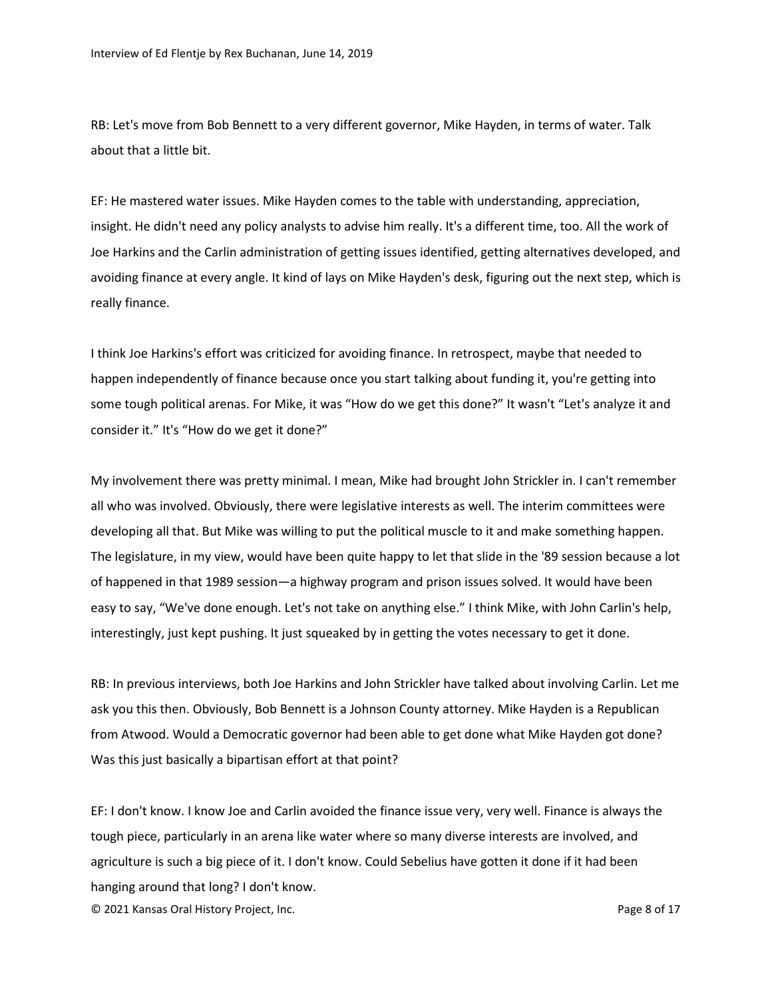RB: Let's move from Bob Bennett to a very different governor, Mike Hayden, in terms of water. Talk about that a little bit.

EF: He mastered water issues. Mike Hayden comes to the table with understanding, appreciation, insight. He didn't need any policy analysts to advise him really. It's a different time, too. All the work of Joe Harkins and the Carlin administration of getting issues identified, getting alternatives developed, and avoiding finance at every angle. It kind of lays on Mike Hayden's desk, figuring out the next step, which is really finance.

I think Joe Harkins's effort was criticized for avoiding finance. In retrospect, maybe that needed to happen independently of finance because once you start talking about funding it, you're getting into some tough political arenas. For Mike, it was "How do we get this done?" It wasn't "Let's analyze it and consider it." It's "How do we get it done?"

My involvement there was pretty minimal. I mean, Mike had brought John Strickler in. I can't remember all who was involved. Obviously, there were legislative interests as well. The interim committees were developing all that. But Mike was willing to put the political muscle to it and make something happen. The legislature, in my view, would have been quite happy to let that slide in the '89 session because a lot of happened in that 1989 session—a highway program and prison issues solved. It would have been easy to say, "We've done enough. Let's not take on anything else." I think Mike, with John Carlin's help, interestingly, just kept pushing. It just squeaked by in getting the votes necessary to get it done.

RB: In previous interviews, both Joe Harkins and John Strickler have talked about involving Carlin. Let me ask you this then. Obviously, Bob Bennett is a Johnson County attorney. Mike Hayden is a Republican from Atwood. Would a Democratic governor had been able to get done what Mike Hayden got done? Was this just basically a bipartisan effort at that point?

EF: I don't know. I know Joe and Carlin avoided the finance issue very, very well. Finance is always the tough piece, particularly in an arena like water where so many diverse interests are involved, and agriculture is such a big piece of it. I don't know. Could Sebelius have gotten it done if it had been hanging around that long? I don't know.

© 2021 Kansas Oral History Project, Inc. Page 8 of 17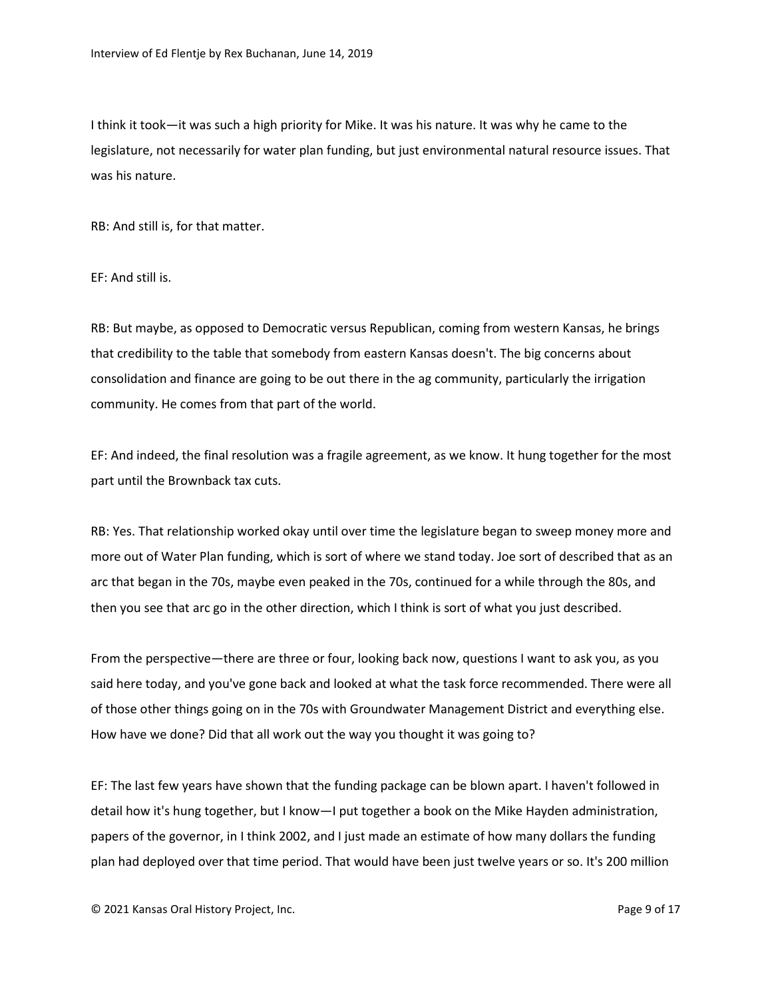I think it took—it was such a high priority for Mike. It was his nature. It was why he came to the legislature, not necessarily for water plan funding, but just environmental natural resource issues. That was his nature.

RB: And still is, for that matter.

EF: And still is.

RB: But maybe, as opposed to Democratic versus Republican, coming from western Kansas, he brings that credibility to the table that somebody from eastern Kansas doesn't. The big concerns about consolidation and finance are going to be out there in the ag community, particularly the irrigation community. He comes from that part of the world.

EF: And indeed, the final resolution was a fragile agreement, as we know. It hung together for the most part until the Brownback tax cuts.

RB: Yes. That relationship worked okay until over time the legislature began to sweep money more and more out of Water Plan funding, which is sort of where we stand today. Joe sort of described that as an arc that began in the 70s, maybe even peaked in the 70s, continued for a while through the 80s, and then you see that arc go in the other direction, which I think is sort of what you just described.

From the perspective—there are three or four, looking back now, questions I want to ask you, as you said here today, and you've gone back and looked at what the task force recommended. There were all of those other things going on in the 70s with Groundwater Management District and everything else. How have we done? Did that all work out the way you thought it was going to?

EF: The last few years have shown that the funding package can be blown apart. I haven't followed in detail how it's hung together, but I know—I put together a book on the Mike Hayden administration, papers of the governor, in I think 2002, and I just made an estimate of how many dollars the funding plan had deployed over that time period. That would have been just twelve years or so. It's 200 million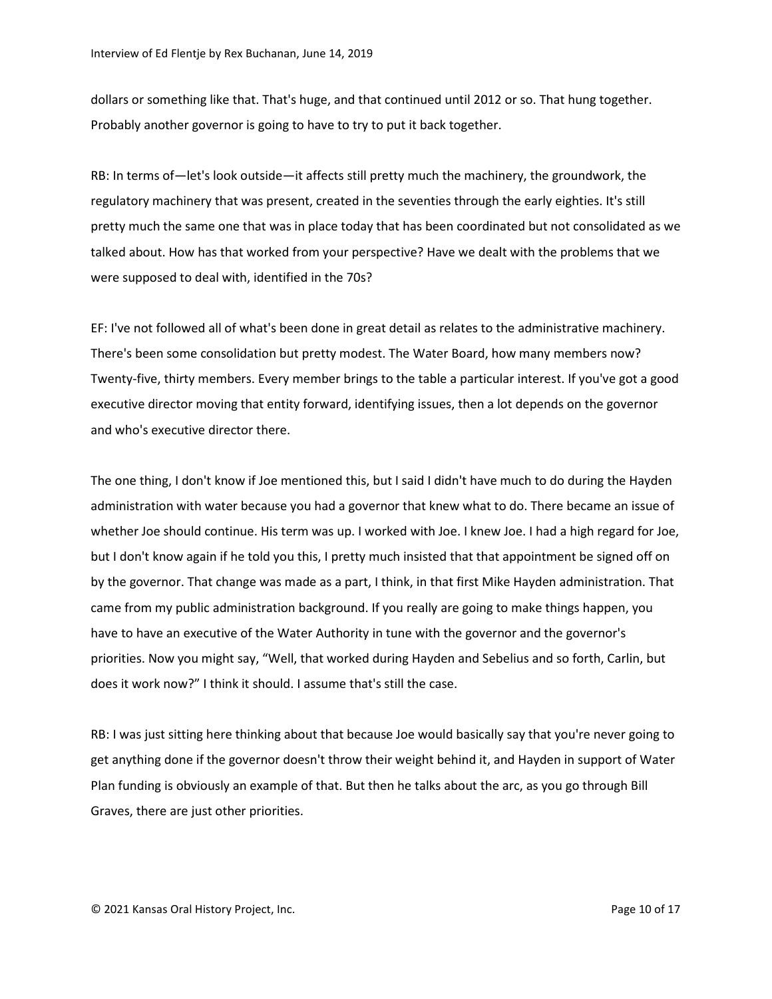dollars or something like that. That's huge, and that continued until 2012 or so. That hung together. Probably another governor is going to have to try to put it back together.

RB: In terms of—let's look outside—it affects still pretty much the machinery, the groundwork, the regulatory machinery that was present, created in the seventies through the early eighties. It's still pretty much the same one that was in place today that has been coordinated but not consolidated as we talked about. How has that worked from your perspective? Have we dealt with the problems that we were supposed to deal with, identified in the 70s?

EF: I've not followed all of what's been done in great detail as relates to the administrative machinery. There's been some consolidation but pretty modest. The Water Board, how many members now? Twenty-five, thirty members. Every member brings to the table a particular interest. If you've got a good executive director moving that entity forward, identifying issues, then a lot depends on the governor and who's executive director there.

The one thing, I don't know if Joe mentioned this, but I said I didn't have much to do during the Hayden administration with water because you had a governor that knew what to do. There became an issue of whether Joe should continue. His term was up. I worked with Joe. I knew Joe. I had a high regard for Joe, but I don't know again if he told you this, I pretty much insisted that that appointment be signed off on by the governor. That change was made as a part, I think, in that first Mike Hayden administration. That came from my public administration background. If you really are going to make things happen, you have to have an executive of the Water Authority in tune with the governor and the governor's priorities. Now you might say, "Well, that worked during Hayden and Sebelius and so forth, Carlin, but does it work now?" I think it should. I assume that's still the case.

RB: I was just sitting here thinking about that because Joe would basically say that you're never going to get anything done if the governor doesn't throw their weight behind it, and Hayden in support of Water Plan funding is obviously an example of that. But then he talks about the arc, as you go through Bill Graves, there are just other priorities.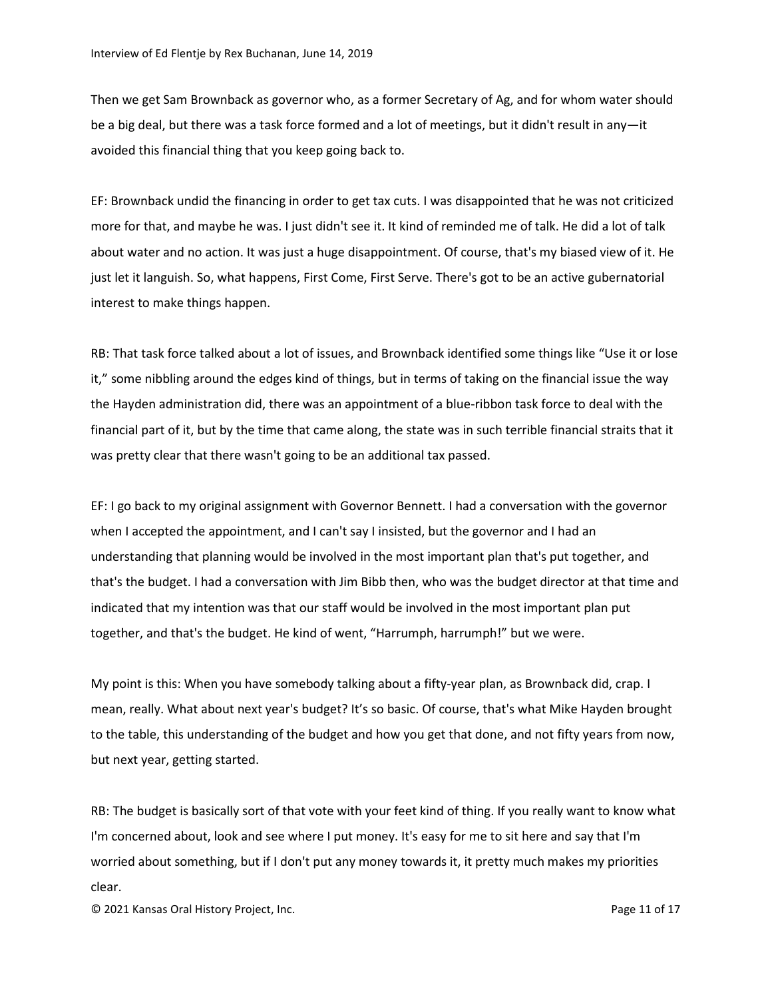Then we get Sam Brownback as governor who, as a former Secretary of Ag, and for whom water should be a big deal, but there was a task force formed and a lot of meetings, but it didn't result in any—it avoided this financial thing that you keep going back to.

EF: Brownback undid the financing in order to get tax cuts. I was disappointed that he was not criticized more for that, and maybe he was. I just didn't see it. It kind of reminded me of talk. He did a lot of talk about water and no action. It was just a huge disappointment. Of course, that's my biased view of it. He just let it languish. So, what happens, First Come, First Serve. There's got to be an active gubernatorial interest to make things happen.

RB: That task force talked about a lot of issues, and Brownback identified some things like "Use it or lose it," some nibbling around the edges kind of things, but in terms of taking on the financial issue the way the Hayden administration did, there was an appointment of a blue-ribbon task force to deal with the financial part of it, but by the time that came along, the state was in such terrible financial straits that it was pretty clear that there wasn't going to be an additional tax passed.

EF: I go back to my original assignment with Governor Bennett. I had a conversation with the governor when I accepted the appointment, and I can't say I insisted, but the governor and I had an understanding that planning would be involved in the most important plan that's put together, and that's the budget. I had a conversation with Jim Bibb then, who was the budget director at that time and indicated that my intention was that our staff would be involved in the most important plan put together, and that's the budget. He kind of went, "Harrumph, harrumph!" but we were.

My point is this: When you have somebody talking about a fifty-year plan, as Brownback did, crap. I mean, really. What about next year's budget? It's so basic. Of course, that's what Mike Hayden brought to the table, this understanding of the budget and how you get that done, and not fifty years from now, but next year, getting started.

RB: The budget is basically sort of that vote with your feet kind of thing. If you really want to know what I'm concerned about, look and see where I put money. It's easy for me to sit here and say that I'm worried about something, but if I don't put any money towards it, it pretty much makes my priorities clear.

© 2021 Kansas Oral History Project, Inc. Page 11 of 17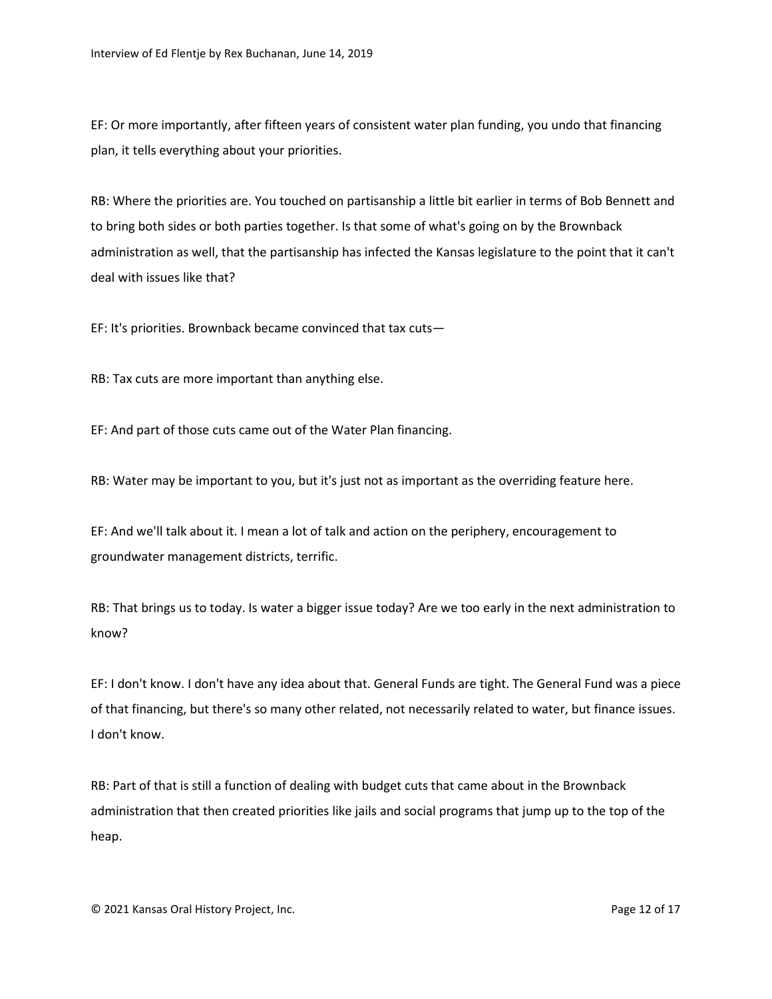EF: Or more importantly, after fifteen years of consistent water plan funding, you undo that financing plan, it tells everything about your priorities.

RB: Where the priorities are. You touched on partisanship a little bit earlier in terms of Bob Bennett and to bring both sides or both parties together. Is that some of what's going on by the Brownback administration as well, that the partisanship has infected the Kansas legislature to the point that it can't deal with issues like that?

EF: It's priorities. Brownback became convinced that tax cuts—

RB: Tax cuts are more important than anything else.

EF: And part of those cuts came out of the Water Plan financing.

RB: Water may be important to you, but it's just not as important as the overriding feature here.

EF: And we'll talk about it. I mean a lot of talk and action on the periphery, encouragement to groundwater management districts, terrific.

RB: That brings us to today. Is water a bigger issue today? Are we too early in the next administration to know?

EF: I don't know. I don't have any idea about that. General Funds are tight. The General Fund was a piece of that financing, but there's so many other related, not necessarily related to water, but finance issues. I don't know.

RB: Part of that is still a function of dealing with budget cuts that came about in the Brownback administration that then created priorities like jails and social programs that jump up to the top of the heap.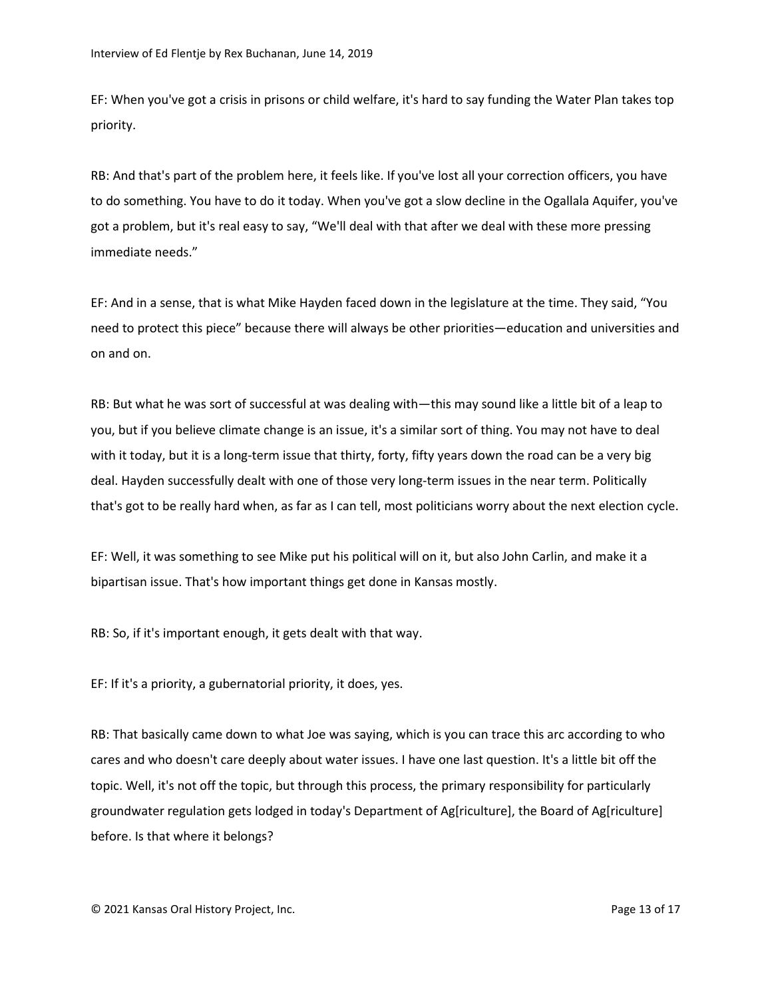EF: When you've got a crisis in prisons or child welfare, it's hard to say funding the Water Plan takes top priority.

RB: And that's part of the problem here, it feels like. If you've lost all your correction officers, you have to do something. You have to do it today. When you've got a slow decline in the Ogallala Aquifer, you've got a problem, but it's real easy to say, "We'll deal with that after we deal with these more pressing immediate needs."

EF: And in a sense, that is what Mike Hayden faced down in the legislature at the time. They said, "You need to protect this piece" because there will always be other priorities—education and universities and on and on.

RB: But what he was sort of successful at was dealing with—this may sound like a little bit of a leap to you, but if you believe climate change is an issue, it's a similar sort of thing. You may not have to deal with it today, but it is a long-term issue that thirty, forty, fifty years down the road can be a very big deal. Hayden successfully dealt with one of those very long-term issues in the near term. Politically that's got to be really hard when, as far as I can tell, most politicians worry about the next election cycle.

EF: Well, it was something to see Mike put his political will on it, but also John Carlin, and make it a bipartisan issue. That's how important things get done in Kansas mostly.

RB: So, if it's important enough, it gets dealt with that way.

EF: If it's a priority, a gubernatorial priority, it does, yes.

RB: That basically came down to what Joe was saying, which is you can trace this arc according to who cares and who doesn't care deeply about water issues. I have one last question. It's a little bit off the topic. Well, it's not off the topic, but through this process, the primary responsibility for particularly groundwater regulation gets lodged in today's Department of Ag[riculture], the Board of Ag[riculture] before. Is that where it belongs?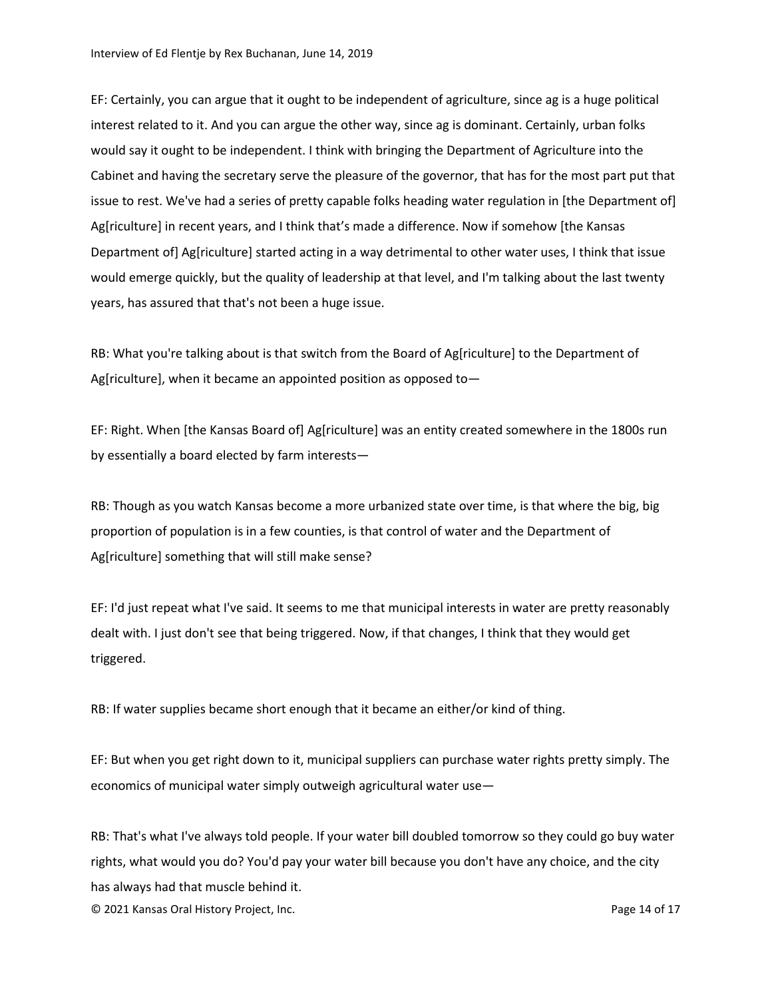EF: Certainly, you can argue that it ought to be independent of agriculture, since ag is a huge political interest related to it. And you can argue the other way, since ag is dominant. Certainly, urban folks would say it ought to be independent. I think with bringing the Department of Agriculture into the Cabinet and having the secretary serve the pleasure of the governor, that has for the most part put that issue to rest. We've had a series of pretty capable folks heading water regulation in [the Department of] Ag[riculture] in recent years, and I think that's made a difference. Now if somehow [the Kansas Department of] Ag[riculture] started acting in a way detrimental to other water uses, I think that issue would emerge quickly, but the quality of leadership at that level, and I'm talking about the last twenty years, has assured that that's not been a huge issue.

RB: What you're talking about is that switch from the Board of Ag[riculture] to the Department of Ag[riculture], when it became an appointed position as opposed to—

EF: Right. When [the Kansas Board of] Ag[riculture] was an entity created somewhere in the 1800s run by essentially a board elected by farm interests—

RB: Though as you watch Kansas become a more urbanized state over time, is that where the big, big proportion of population is in a few counties, is that control of water and the Department of Ag[riculture] something that will still make sense?

EF: I'd just repeat what I've said. It seems to me that municipal interests in water are pretty reasonably dealt with. I just don't see that being triggered. Now, if that changes, I think that they would get triggered.

RB: If water supplies became short enough that it became an either/or kind of thing.

EF: But when you get right down to it, municipal suppliers can purchase water rights pretty simply. The economics of municipal water simply outweigh agricultural water use—

RB: That's what I've always told people. If your water bill doubled tomorrow so they could go buy water rights, what would you do? You'd pay your water bill because you don't have any choice, and the city has always had that muscle behind it.

© 2021 Kansas Oral History Project, Inc. Page 14 of 17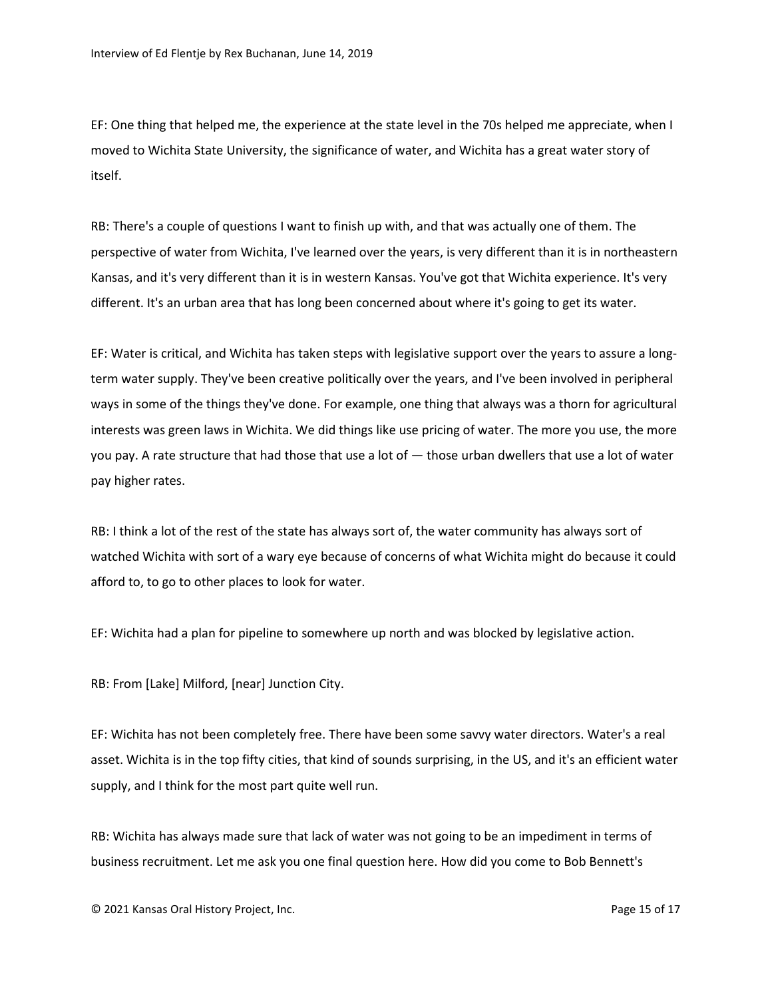EF: One thing that helped me, the experience at the state level in the 70s helped me appreciate, when I moved to Wichita State University, the significance of water, and Wichita has a great water story of itself.

RB: There's a couple of questions I want to finish up with, and that was actually one of them. The perspective of water from Wichita, I've learned over the years, is very different than it is in northeastern Kansas, and it's very different than it is in western Kansas. You've got that Wichita experience. It's very different. It's an urban area that has long been concerned about where it's going to get its water.

EF: Water is critical, and Wichita has taken steps with legislative support over the years to assure a longterm water supply. They've been creative politically over the years, and I've been involved in peripheral ways in some of the things they've done. For example, one thing that always was a thorn for agricultural interests was green laws in Wichita. We did things like use pricing of water. The more you use, the more you pay. A rate structure that had those that use a lot of — those urban dwellers that use a lot of water pay higher rates.

RB: I think a lot of the rest of the state has always sort of, the water community has always sort of watched Wichita with sort of a wary eye because of concerns of what Wichita might do because it could afford to, to go to other places to look for water.

EF: Wichita had a plan for pipeline to somewhere up north and was blocked by legislative action.

RB: From [Lake] Milford, [near] Junction City.

EF: Wichita has not been completely free. There have been some savvy water directors. Water's a real asset. Wichita is in the top fifty cities, that kind of sounds surprising, in the US, and it's an efficient water supply, and I think for the most part quite well run.

RB: Wichita has always made sure that lack of water was not going to be an impediment in terms of business recruitment. Let me ask you one final question here. How did you come to Bob Bennett's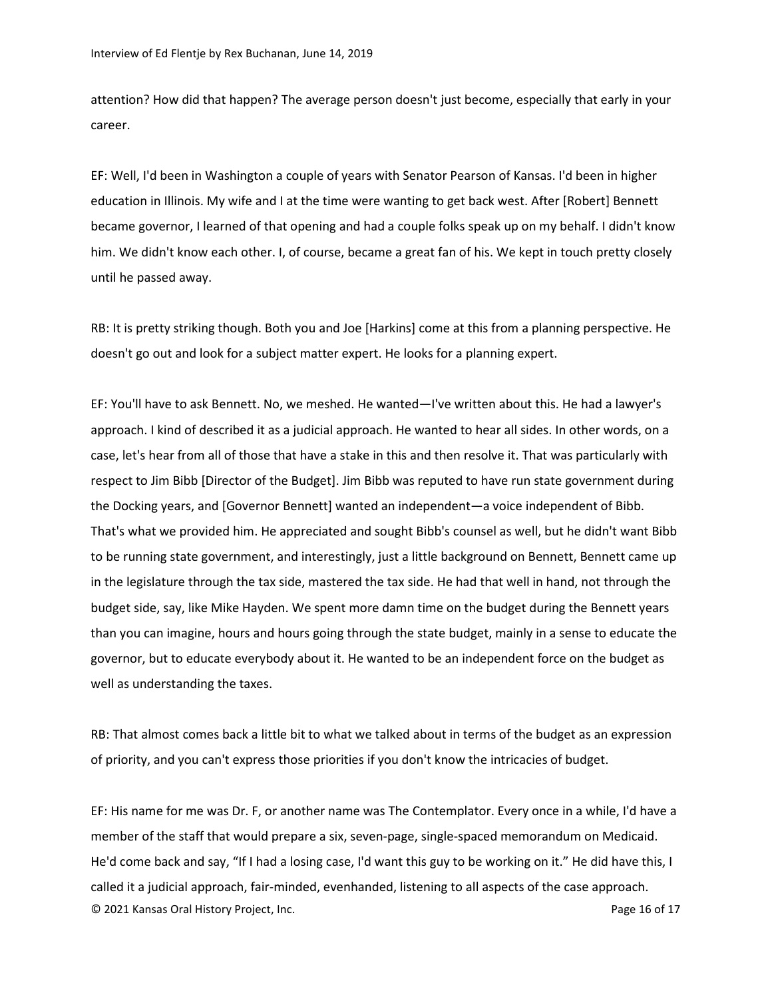attention? How did that happen? The average person doesn't just become, especially that early in your career.

EF: Well, I'd been in Washington a couple of years with Senator Pearson of Kansas. I'd been in higher education in Illinois. My wife and I at the time were wanting to get back west. After [Robert] Bennett became governor, I learned of that opening and had a couple folks speak up on my behalf. I didn't know him. We didn't know each other. I, of course, became a great fan of his. We kept in touch pretty closely until he passed away.

RB: It is pretty striking though. Both you and Joe [Harkins] come at this from a planning perspective. He doesn't go out and look for a subject matter expert. He looks for a planning expert.

EF: You'll have to ask Bennett. No, we meshed. He wanted—I've written about this. He had a lawyer's approach. I kind of described it as a judicial approach. He wanted to hear all sides. In other words, on a case, let's hear from all of those that have a stake in this and then resolve it. That was particularly with respect to Jim Bibb [Director of the Budget]. Jim Bibb was reputed to have run state government during the Docking years, and [Governor Bennett] wanted an independent—a voice independent of Bibb. That's what we provided him. He appreciated and sought Bibb's counsel as well, but he didn't want Bibb to be running state government, and interestingly, just a little background on Bennett, Bennett came up in the legislature through the tax side, mastered the tax side. He had that well in hand, not through the budget side, say, like Mike Hayden. We spent more damn time on the budget during the Bennett years than you can imagine, hours and hours going through the state budget, mainly in a sense to educate the governor, but to educate everybody about it. He wanted to be an independent force on the budget as well as understanding the taxes.

RB: That almost comes back a little bit to what we talked about in terms of the budget as an expression of priority, and you can't express those priorities if you don't know the intricacies of budget.

© 2021 Kansas Oral History Project, Inc. Page 16 of 17 EF: His name for me was Dr. F, or another name was The Contemplator. Every once in a while, I'd have a member of the staff that would prepare a six, seven-page, single-spaced memorandum on Medicaid. He'd come back and say, "If I had a losing case, I'd want this guy to be working on it." He did have this, I called it a judicial approach, fair-minded, evenhanded, listening to all aspects of the case approach.